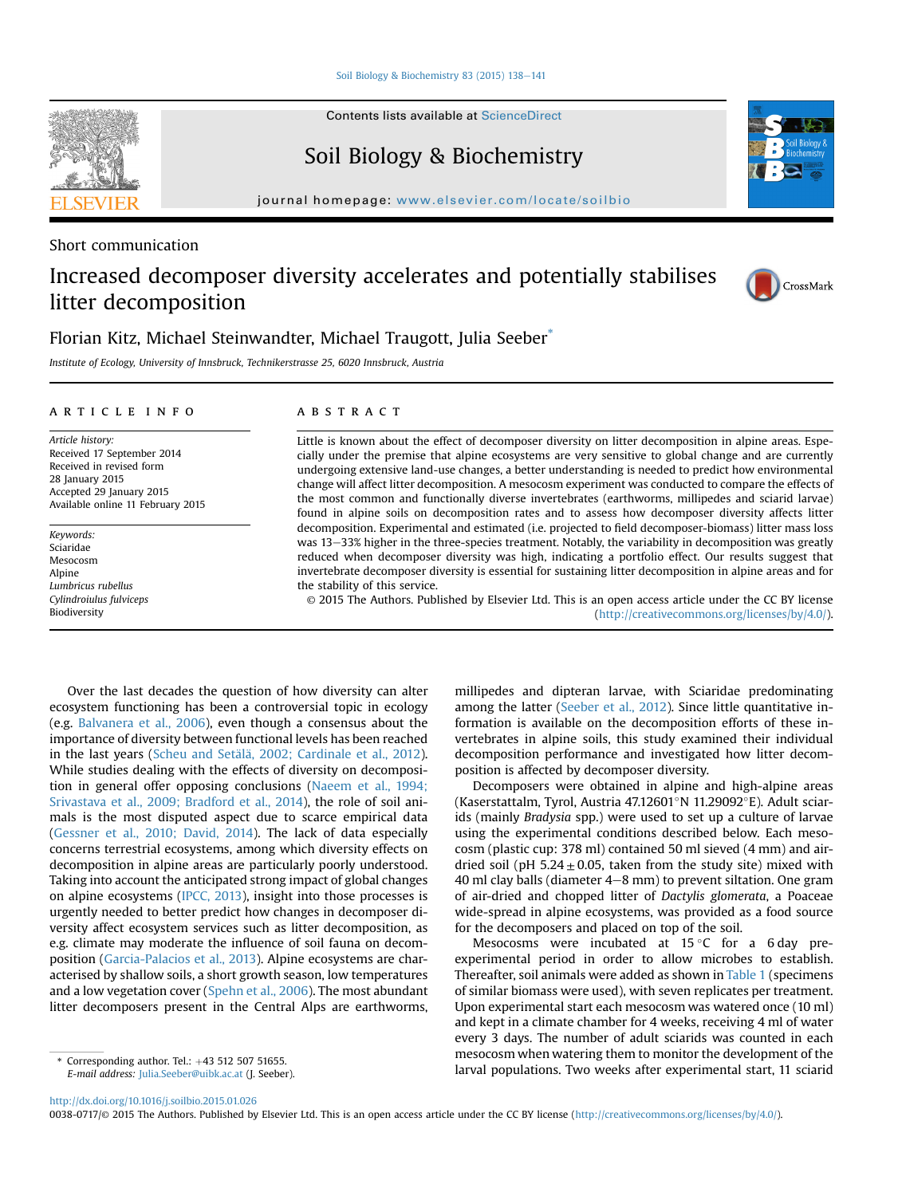[Soil Biology & Biochemistry 83 \(2015\) 138](http://dx.doi.org/10.1016/j.soilbio.2015.01.026)-[141](http://dx.doi.org/10.1016/j.soilbio.2015.01.026)

Contents lists available at ScienceDirect

## Soil Biology & Biochemistry

journal homepage: [www.elsevier.com/locate/soilbio](http://www.elsevier.com/locate/soilbio)

Short communication

# Increased decomposer diversity accelerates and potentially stabilises litter decomposition



### Florian Kitz, Michael Steinwandter, Michael Traugott, Julia Seeber\*

Institute of Ecology, University of Innsbruck, Technikerstrasse 25, 6020 Innsbruck, Austria

#### article info

Article history: Received 17 September 2014 Received in revised form 28 January 2015 Accepted 29 January 2015 Available online 11 February 2015

Keywords: Sciaridae Mesocosm Alpine Lumbricus rubellus Cylindroiulus fulviceps Biodiversity

#### **ABSTRACT**

Little is known about the effect of decomposer diversity on litter decomposition in alpine areas. Especially under the premise that alpine ecosystems are very sensitive to global change and are currently undergoing extensive land-use changes, a better understanding is needed to predict how environmental change will affect litter decomposition. A mesocosm experiment was conducted to compare the effects of the most common and functionally diverse invertebrates (earthworms, millipedes and sciarid larvae) found in alpine soils on decomposition rates and to assess how decomposer diversity affects litter decomposition. Experimental and estimated (i.e. projected to field decomposer-biomass) litter mass loss was 13-33% higher in the three-species treatment. Notably, the variability in decomposition was greatly reduced when decomposer diversity was high, indicating a portfolio effect. Our results suggest that invertebrate decomposer diversity is essential for sustaining litter decomposition in alpine areas and for the stability of this service.

© 2015 The Authors. Published by Elsevier Ltd. This is an open access article under the CC BY license [\(http://creativecommons.org/licenses/by/4.0/](http://creativecommons.org/licenses/by/4.�0/)).

Over the last decades the question of how diversity can alter ecosystem functioning has been a controversial topic in ecology (e.g. [Balvanera et al., 2006](#page-2-0)), even though a consensus about the importance of diversity between functional levels has been reached in the last years (Scheu and Setälä, 2002; Cardinale et al., 2012). While studies dealing with the effects of diversity on decomposition in general offer opposing conclusions ([Naeem et al., 1994;](#page-3-0) [Srivastava et al., 2009; Bradford et al., 2014\)](#page-3-0), the role of soil animals is the most disputed aspect due to scarce empirical data ([Gessner et al., 2010; David, 2014\)](#page-2-0). The lack of data especially concerns terrestrial ecosystems, among which diversity effects on decomposition in alpine areas are particularly poorly understood. Taking into account the anticipated strong impact of global changes on alpine ecosystems ([IPCC, 2013\)](#page-2-0), insight into those processes is urgently needed to better predict how changes in decomposer diversity affect ecosystem services such as litter decomposition, as e.g. climate may moderate the influence of soil fauna on decomposition [\(Garcia-Palacios et al., 2013\)](#page-2-0). Alpine ecosystems are characterised by shallow soils, a short growth season, low temperatures and a low vegetation cover [\(Spehn et al., 2006](#page-3-0)). The most abundant litter decomposers present in the Central Alps are earthworms, millipedes and dipteran larvae, with Sciaridae predominating among the latter [\(Seeber et al., 2012](#page-3-0)). Since little quantitative information is available on the decomposition efforts of these invertebrates in alpine soils, this study examined their individual decomposition performance and investigated how litter decomposition is affected by decomposer diversity.

Decomposers were obtained in alpine and high-alpine areas (Kaserstattalm, Tyrol, Austria 47.12601°N 11.29092°E). Adult sciarids (mainly Bradysia spp.) were used to set up a culture of larvae using the experimental conditions described below. Each mesocosm (plastic cup: 378 ml) contained 50 ml sieved (4 mm) and airdried soil (pH  $5.24 \pm 0.05$ , taken from the study site) mixed with 40 ml clay balls (diameter  $4-8$  mm) to prevent siltation. One gram of air-dried and chopped litter of Dactylis glomerata, a Poaceae wide-spread in alpine ecosystems, was provided as a food source for the decomposers and placed on top of the soil.

Mesocosms were incubated at  $15\degree$ C for a 6 day preexperimental period in order to allow microbes to establish. Thereafter, soil animals were added as shown in [Table 1](#page-1-0) (specimens of similar biomass were used), with seven replicates per treatment. Upon experimental start each mesocosm was watered once (10 ml) and kept in a climate chamber for 4 weeks, receiving 4 ml of water every 3 days. The number of adult sciarids was counted in each mesocosm when watering them to monitor the development of the larval populations. Two weeks after experimental start, 11 sciarid \* Corresponding author. Tel.: <sup>þ</sup>43 512 507 51655.

#### <http://dx.doi.org/10.1016/j.soilbio.2015.01.026>

0038-0717/© 2015 The Authors. Published by Elsevier Ltd. This is an open access article under the CC BY license ([http://creativecommons.org/licenses/by/4.0/](http://creativecommons.org/licenses/by/4.�0/)).



E-mail address: [Julia.Seeber@uibk.ac.at](mailto:Julia.Seeber@uibk.ac.at) (J. Seeber).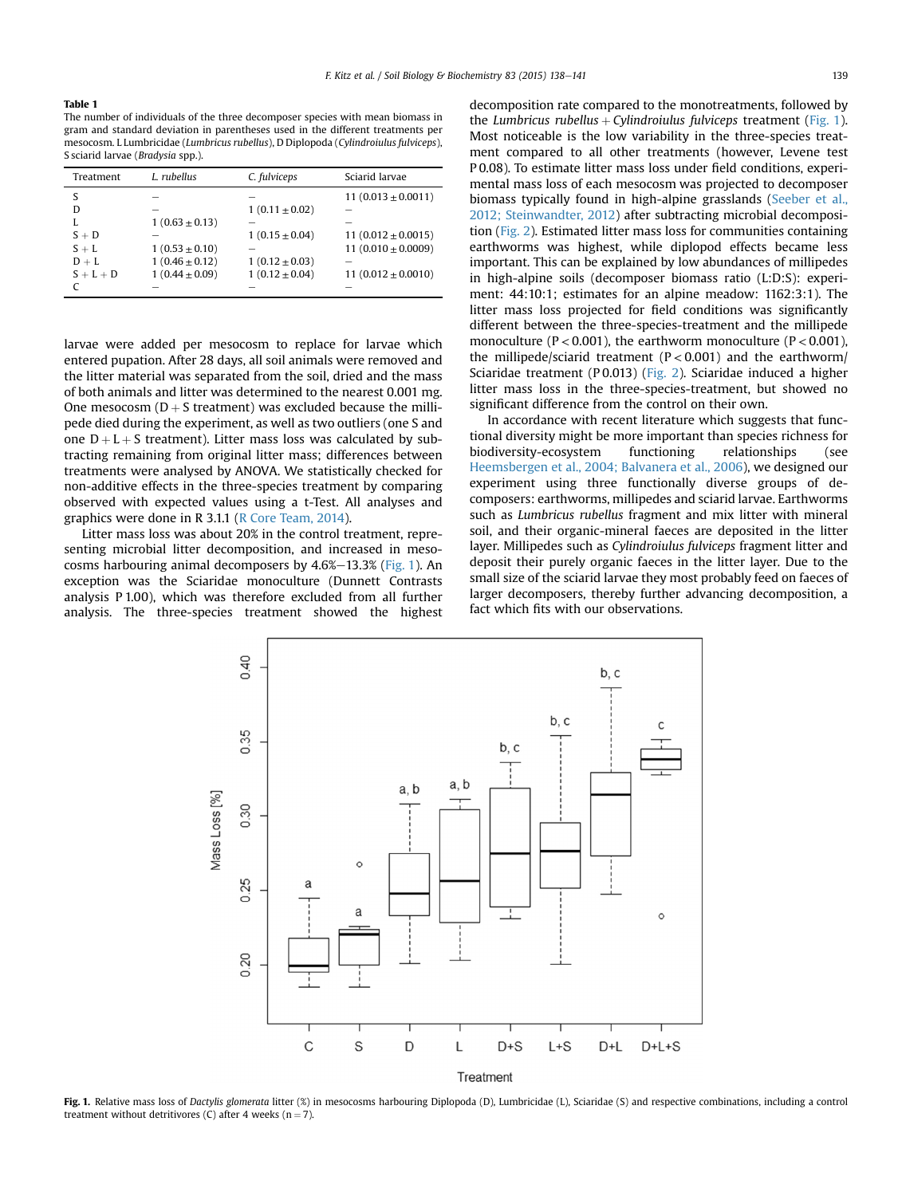<span id="page-1-0"></span>The number of individuals of the three decomposer species with mean biomass in gram and standard deviation in parentheses used in the different treatments per mesocosm. L Lumbricidae (Lumbricus rubellus), D Diplopoda (Cylindroiulus fulviceps), S sciarid larvae (Bradysia spp.).

| Treatment   | L. rubellus        | C. fulviceps       | Sciarid larvae          |
|-------------|--------------------|--------------------|-------------------------|
| S           |                    |                    | 11 $(0.013 \pm 0.0011)$ |
| D           | --                 | $1(0.11 \pm 0.02)$ |                         |
| L           | $1(0.63 \pm 0.13)$ |                    |                         |
| $S + D$     |                    | $1(0.15 \pm 0.04)$ | 11 $(0.012 \pm 0.0015)$ |
| $S + L$     | $1(0.53 \pm 0.10)$ |                    | 11 $(0.010 \pm 0.0009)$ |
| $D + L$     | $1(0.46 \pm 0.12)$ | $1(0.12 \pm 0.03)$ |                         |
| $S + L + D$ | $1(0.44 \pm 0.09)$ | $1(0.12 \pm 0.04)$ | 11 $(0.012 \pm 0.0010)$ |
|             |                    |                    |                         |

larvae were added per mesocosm to replace for larvae which entered pupation. After 28 days, all soil animals were removed and the litter material was separated from the soil, dried and the mass of both animals and litter was determined to the nearest 0.001 mg. One mesocosm  $(D + S$  treatment) was excluded because the millipede died during the experiment, as well as two outliers (one S and one  $D + L + S$  treatment). Litter mass loss was calculated by subtracting remaining from original litter mass; differences between treatments were analysed by ANOVA. We statistically checked for non-additive effects in the three-species treatment by comparing observed with expected values using a t-Test. All analyses and graphics were done in R 3.1.1 ([R Core Team, 2014\)](#page-3-0).

Litter mass loss was about 20% in the control treatment, representing microbial litter decomposition, and increased in mesocosms harbouring animal decomposers by  $4.6\%$  – 13.3% (Fig. 1). An exception was the Sciaridae monoculture (Dunnett Contrasts analysis P 1.00), which was therefore excluded from all further analysis. The three-species treatment showed the highest decomposition rate compared to the monotreatments, followed by the Lumbricus rubellus + Cylindroiulus fulviceps treatment (Fig. 1). Most noticeable is the low variability in the three-species treatment compared to all other treatments (however, Levene test P 0.08). To estimate litter mass loss under field conditions, experimental mass loss of each mesocosm was projected to decomposer biomass typically found in high-alpine grasslands [\(Seeber et al.,](#page-3-0) [2012; Steinwandter, 2012](#page-3-0)) after subtracting microbial decomposition ([Fig. 2\)](#page-2-0). Estimated litter mass loss for communities containing earthworms was highest, while diplopod effects became less important. This can be explained by low abundances of millipedes in high-alpine soils (decomposer biomass ratio (L:D:S): experiment: 44:10:1; estimates for an alpine meadow: 1162:3:1). The litter mass loss projected for field conditions was significantly different between the three-species-treatment and the millipede monoculture ( $P < 0.001$ ), the earthworm monoculture ( $P < 0.001$ ), the millipede/sciarid treatment  $(P < 0.001)$  and the earthworm/ Sciaridae treatment (P 0.013) [\(Fig. 2](#page-2-0)). Sciaridae induced a higher litter mass loss in the three-species-treatment, but showed no significant difference from the control on their own.

In accordance with recent literature which suggests that functional diversity might be more important than species richness for biodiversity-ecosystem functioning relationships (see [Heemsbergen et al., 2004; Balvanera et al., 2006\)](#page-2-0), we designed our experiment using three functionally diverse groups of decomposers: earthworms, millipedes and sciarid larvae. Earthworms such as Lumbricus rubellus fragment and mix litter with mineral soil, and their organic-mineral faeces are deposited in the litter layer. Millipedes such as Cylindroiulus fulviceps fragment litter and deposit their purely organic faeces in the litter layer. Due to the small size of the sciarid larvae they most probably feed on faeces of larger decomposers, thereby further advancing decomposition, a fact which fits with our observations.



Fig. 1. Relative mass loss of Dactylis glomerata litter (%) in mesocosms harbouring Diplopoda (D), Lumbricidae (L), Sciaridae (S) and respective combinations, including a control treatment without detritivores (C) after 4 weeks ( $n = 7$ ).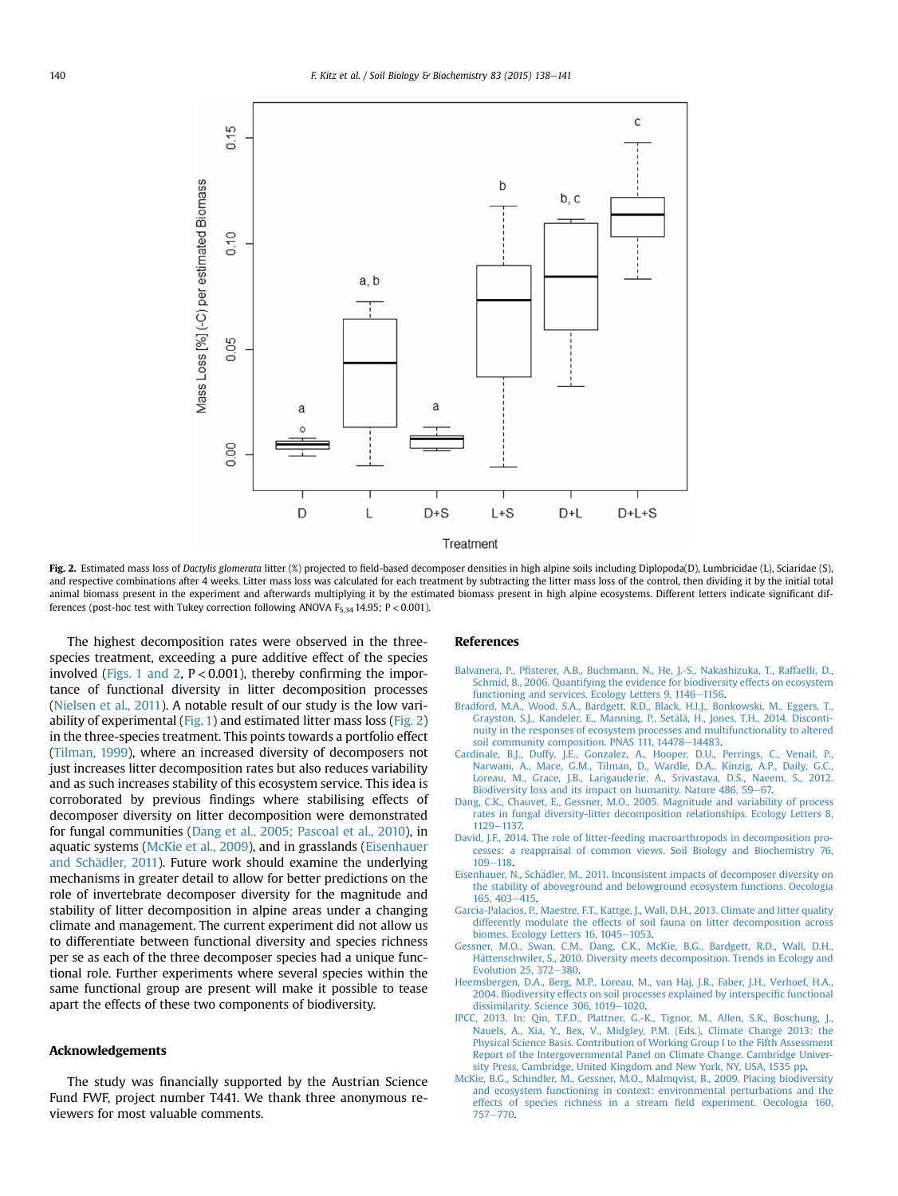<span id="page-2-0"></span>

Fig. 2. Estimated mass loss of Dactylis glomerata litter (%) projected to field-based decomposer densities in high alpine soils including Diplopoda(D), Lumbricidae (L), Sciaridae (S), and respective combinations after 4 weeks. Litter mass loss was calculated for each treatment by subtracting the litter mass loss of the control, then dividing it by the initial total animal biomass present in the experiment and afterwards multiplying it by the estimated biomass present in high alpine ecosystems. Different letters indicate significant differences (post-hoc test with Tukey correction following ANOVA  $F_{5,34}$  14.95; P < 0.001).

The highest decomposition rates were observed in the threespecies treatment, exceeding a pure additive effect of the species involved ([Figs. 1 and 2,](#page-1-0)  $P < 0.001$ ), thereby confirming the importance of functional diversity in litter decomposition processes ([Nielsen et al., 2011\)](#page-3-0). A notable result of our study is the low variability of experimental [\(Fig. 1](#page-1-0)) and estimated litter mass loss (Fig. 2) in the three-species treatment. This points towards a portfolio effect ([Tilman, 1999\)](#page-3-0), where an increased diversity of decomposers not just increases litter decomposition rates but also reduces variability and as such increases stability of this ecosystem service. This idea is corroborated by previous findings where stabilising effects of decomposer diversity on litter decomposition were demonstrated for fungal communities (Dang et al., 2005; Pascoal et al., 2010), in aquatic systems (McKie et al., 2009), and in grasslands (Eisenhauer and Schädler, 2011). Future work should examine the underlying mechanisms in greater detail to allow for better predictions on the role of invertebrate decomposer diversity for the magnitude and stability of litter decomposition in alpine areas under a changing climate and management. The current experiment did not allow us to differentiate between functional diversity and species richness per se as each of the three decomposer species had a unique functional role. Further experiments where several species within the same functional group are present will make it possible to tease apart the effects of these two components of biodiversity.

### Acknowledgements

The study was financially supported by the Austrian Science Fund FWF, project number T441. We thank three anonymous reviewers for most valuable comments.

#### References

- Balvanera, P., Pfi[sterer, A.B., Buchmann, N., He, J.-S., Nakashizuka, T., Raffaelli, D.,](http://refhub.elsevier.com/S0038-0717(15)00045-0/sref1) [Schmid, B., 2006. Quantifying the evidence for biodiversity effects on ecosystem](http://refhub.elsevier.com/S0038-0717(15)00045-0/sref1) [functioning and services. Ecology Letters 9, 1146](http://refhub.elsevier.com/S0038-0717(15)00045-0/sref1)-[1156](http://refhub.elsevier.com/S0038-0717(15)00045-0/sref1).
- [Bradford, M.A., Wood, S.A., Bardgett, R.D., Black, H.I.J., Bonkowski, M., Eggers, T.,](http://refhub.elsevier.com/S0038-0717(15)00045-0/sref2) [Grayston, S.J., Kandeler, E., Manning, P., Set](http://refhub.elsevier.com/S0038-0717(15)00045-0/sref2)ä[l](http://refhub.elsevier.com/S0038-0717(15)00045-0/sref2)ä, H., Jones, T.H., 2014. Disconti[nuity in the responses of ecosystem processes and multifunctionality to altered](http://refhub.elsevier.com/S0038-0717(15)00045-0/sref2) soil community composition. PNAS  $111$ ,  $14478 - 14483$ .
- [Cardinale, B.J., Duffy, J.E., Gonzalez, A., Hooper, D.U., Perrings, C., Venail, P.,](http://refhub.elsevier.com/S0038-0717(15)00045-0/sref3) [Narwani, A., Mace, G.M., Tilman, D., Wardle, D.A., Kinzig, A.P., Daily, G.C.,](http://refhub.elsevier.com/S0038-0717(15)00045-0/sref3) [Loreau, M., Grace, J.B., Larigauderie, A., Srivastava, D.S., Naeem, S., 2012.](http://refhub.elsevier.com/S0038-0717(15)00045-0/sref3) [Biodiversity loss and its impact on humanity. Nature 486, 59](http://refhub.elsevier.com/S0038-0717(15)00045-0/sref3)–[67.](http://refhub.elsevier.com/S0038-0717(15)00045-0/sref3)
- [Dang, C.K., Chauvet, E., Gessner, M.O., 2005. Magnitude and variability of process](http://refhub.elsevier.com/S0038-0717(15)00045-0/sref4) [rates in fungal diversity-litter decomposition relationships. Ecology Letters 8,](http://refhub.elsevier.com/S0038-0717(15)00045-0/sref4) [1129](http://refhub.elsevier.com/S0038-0717(15)00045-0/sref4)-[1137.](http://refhub.elsevier.com/S0038-0717(15)00045-0/sref4)
- [David, J.F., 2014. The role of litter-feeding macroarthropods in decomposition pro](http://refhub.elsevier.com/S0038-0717(15)00045-0/sref5)[cesses: a reappraisal of common views. Soil Biology and Biochemistry 76,](http://refhub.elsevier.com/S0038-0717(15)00045-0/sref5) [109](http://refhub.elsevier.com/S0038-0717(15)00045-0/sref5)-118
- Eisenhauer, N., Schädler, M., 2011. Inconsistent impacts of decomposer diversity on [the stability of aboveground and belowground ecosystem functions. Oecologia](http://refhub.elsevier.com/S0038-0717(15)00045-0/sref6) [165, 403](http://refhub.elsevier.com/S0038-0717(15)00045-0/sref6)-[415](http://refhub.elsevier.com/S0038-0717(15)00045-0/sref6).
- [Garcia-Palacios, P., Maestre, F.T., Kattge, J., Wall, D.H., 2013. Climate and litter quality](http://refhub.elsevier.com/S0038-0717(15)00045-0/sref7) [differently modulate the effects of soil fauna on litter decomposition across](http://refhub.elsevier.com/S0038-0717(15)00045-0/sref7) [biomes. Ecology Letters 16, 1045](http://refhub.elsevier.com/S0038-0717(15)00045-0/sref7)-[1053](http://refhub.elsevier.com/S0038-0717(15)00045-0/sref7).
- [Gessner, M.O., Swan, C.M., Dang, C.K., McKie, B.G., Bardgett, R.D., Wall, D.H.,](http://refhub.elsevier.com/S0038-0717(15)00045-0/sref8) [H](http://refhub.elsevier.com/S0038-0717(15)00045-0/sref8)ättenschwiler, S., 2010. Diversity meets decomposition. Trends in Ecology and [Evolution 25, 372](http://refhub.elsevier.com/S0038-0717(15)00045-0/sref8)-[380.](http://refhub.elsevier.com/S0038-0717(15)00045-0/sref8)
- [Heemsbergen, D.A., Berg, M.P., Loreau, M., van Haj, J.R., Faber, J.H., Verhoef, H.A.,](http://refhub.elsevier.com/S0038-0717(15)00045-0/sref9) [2004. Biodiversity effects on soil processes explained by interspeci](http://refhub.elsevier.com/S0038-0717(15)00045-0/sref9)fic functional [dissimilarity. Science 306, 1019](http://refhub.elsevier.com/S0038-0717(15)00045-0/sref9)-[1020.](http://refhub.elsevier.com/S0038-0717(15)00045-0/sref9)
- [IPCC, 2013. In: Qin, T.F.D., Plattner, G.-K., Tignor, M., Allen, S.K., Boschung, J.,](http://refhub.elsevier.com/S0038-0717(15)00045-0/sref10) [Nauels, A., Xia, Y., Bex, V., Midgley, P.M. \(Eds.\), Climate Change 2013: the](http://refhub.elsevier.com/S0038-0717(15)00045-0/sref10) [Physical Science Basis. Contribution of Working Group I to the Fifth Assessment](http://refhub.elsevier.com/S0038-0717(15)00045-0/sref10) [Report of the Intergovernmental Panel on Climate Change. Cambridge Univer](http://refhub.elsevier.com/S0038-0717(15)00045-0/sref10)[sity Press, Cambridge, United Kingdom and New York, NY, USA, 1535 pp](http://refhub.elsevier.com/S0038-0717(15)00045-0/sref10).
- [McKie, B.G., Schindler, M., Gessner, M.O., Malmqvist, B., 2009. Placing biodiversity](http://refhub.elsevier.com/S0038-0717(15)00045-0/sref11) [and ecosystem functioning in context: environmental perturbations and the](http://refhub.elsevier.com/S0038-0717(15)00045-0/sref11) [effects of species richness in a stream](http://refhub.elsevier.com/S0038-0717(15)00045-0/sref11) field experiment. Oecologia 160, [757](http://refhub.elsevier.com/S0038-0717(15)00045-0/sref11)-[770](http://refhub.elsevier.com/S0038-0717(15)00045-0/sref11).